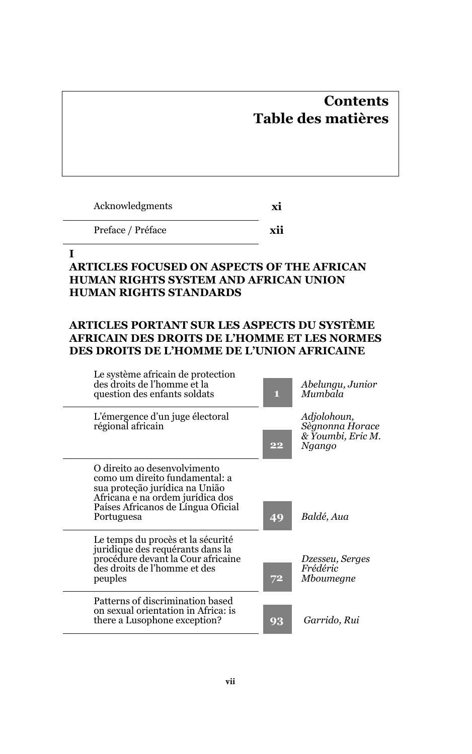# **Contents Table des matières**

| Acknowledgments | хı |
|-----------------|----|
|-----------------|----|

Preface / Préface **xii**

#### **I**

## **ARTICLES FOCUSED ON ASPECTS OF THE AFRICAN HUMAN RIGHTS SYSTEM AND AFRICAN UNION HUMAN RIGHTS STANDARDS**

### **ARTICLES PORTANT SUR LES ASPECTS DU SYSTÈME AFRICAIN DES DROITS DE L'HOMME ET LES NORMES DES DROITS DE L'HOMME DE L'UNION AFRICAINE**

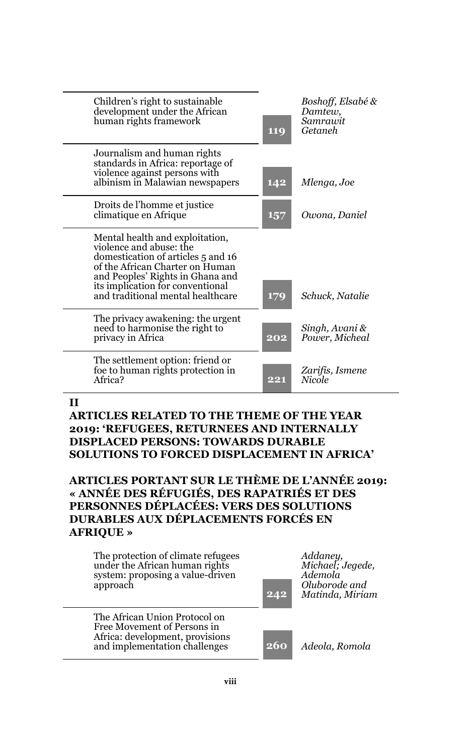| Children's right to sustainable<br>development under the African<br>human rights framework                                                                                                                                                       | 119 | Boshoff, Elsabé &<br>Damtew,<br>Samrawit<br>Getaneh |
|--------------------------------------------------------------------------------------------------------------------------------------------------------------------------------------------------------------------------------------------------|-----|-----------------------------------------------------|
| Journalism and human rights<br>standards in Africa: reportage of<br>violence against persons with<br>albinism in Malawian newspapers                                                                                                             | 142 | Mlenga, Joe                                         |
| Droits de l'homme et justice<br>climatique en Afrique                                                                                                                                                                                            | 157 | Owona, Daniel                                       |
| Mental health and exploitation,<br>violence and abuse: the<br>domestication of articles 5 and 16<br>of the African Charter on Human<br>and Peoples' Rights in Ghana and<br>its implication for conventional<br>and traditional mental healthcare | 179 | Schuck, Natalie                                     |
| The privacy awakening: the urgent<br>need to harmonise the right to<br>privacy in Africa                                                                                                                                                         | 202 | Singh, Avani &<br>Power, Micheal                    |
| The settlement option: friend or<br>foe to human rights protection in<br>Africa?                                                                                                                                                                 | 221 | Zarifis, Ismene<br>Nicole                           |

#### **II**

#### **ARTICLES RELATED TO THE THEME OF THE YEAR 2019: 'REFUGEES, RETURNEES AND INTERNALLY DISPLACED PERSONS: TOWARDS DURABLE SOLUTIONS TO FORCED DISPLACEMENT IN AFRICA'**

#### **ARTICLES PORTANT SUR LE THÈME DE L'ANNÉE 2019: « ANNÉE DES RÉFUGIÉS, DES RAPATRIÉS ET DES PERSONNES DÉPLACÉES: VERS DES SOLUTIONS DURABLES AUX DÉPLACEMENTS FORCÉS EN AFRIQUE »**

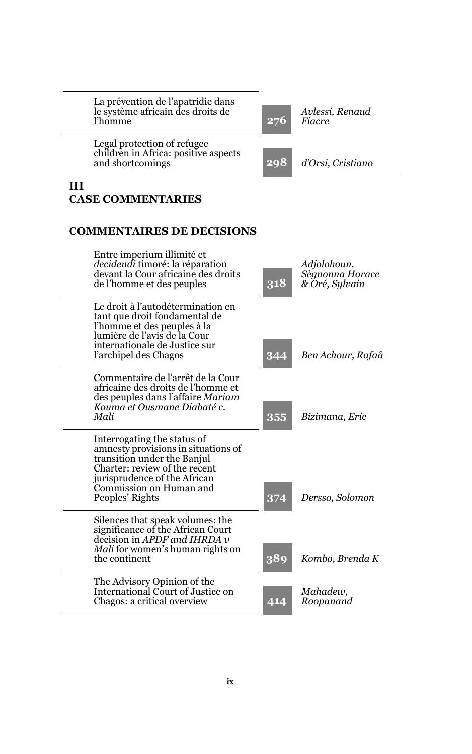| La prévention de l'apatridie dans<br>le système africain des droits de<br>l'homme                                                                                                                                | 276        | Avlessi. Renaud<br>Fiacre                        |
|------------------------------------------------------------------------------------------------------------------------------------------------------------------------------------------------------------------|------------|--------------------------------------------------|
| Legal protection of refugee<br>children in Africa: positive aspects<br>and shortcomings                                                                                                                          | 298        | d'Orsi, Cristiano                                |
| Ш<br><b>CASE COMMENTARIES</b>                                                                                                                                                                                    |            |                                                  |
| <b>COMMENTAIRES DE DECISIONS</b>                                                                                                                                                                                 |            |                                                  |
| Entre imperium illimité et<br><i>decidendi</i> timoré: la réparation<br>devant la Cour africaine des droits<br>de l'homme et des peuples                                                                         | 318        | Adiolohoun.<br>Sègnonna Horace<br>& Oré, Sylvain |
| Le droit à l'autodétermination en<br>tant que droit fondamental de<br>l'homme et des peuples à la<br>lumière de l'avis de la Cour<br>internationale de Justice sur<br>l'archipel des Chagos                      | 344        | Ben Achour, Rafaâ                                |
| Commentaire de l'arrêt de la Cour<br>africaine des droits de l'homme et<br>des peuples dans l'affaire Mariam<br>Kouma et Ousmane Diabaté c.<br>Mali                                                              | 355        | Bizimana, Eric                                   |
| Interrogating the status of<br>amnesty provisions in situations of<br>transition under the Banjul<br>Charter: review of the recent<br>jurisprudence of the African<br>Commission on Human and<br>Peoples' Rights | 374        | Dersso, Solomon                                  |
| Silences that speak volumes: the<br>significance of the African Court<br>decision in APDF and IHRDA v<br><i>Mali</i> for women's human rights on<br>the continent                                                | 389        | Kombo, Brenda K                                  |
| The Advisory Opinion of the<br>International Court of Justice on<br>Chagos: a critical overview                                                                                                                  | $\bf{414}$ | Mahadew.<br>Roopanand                            |